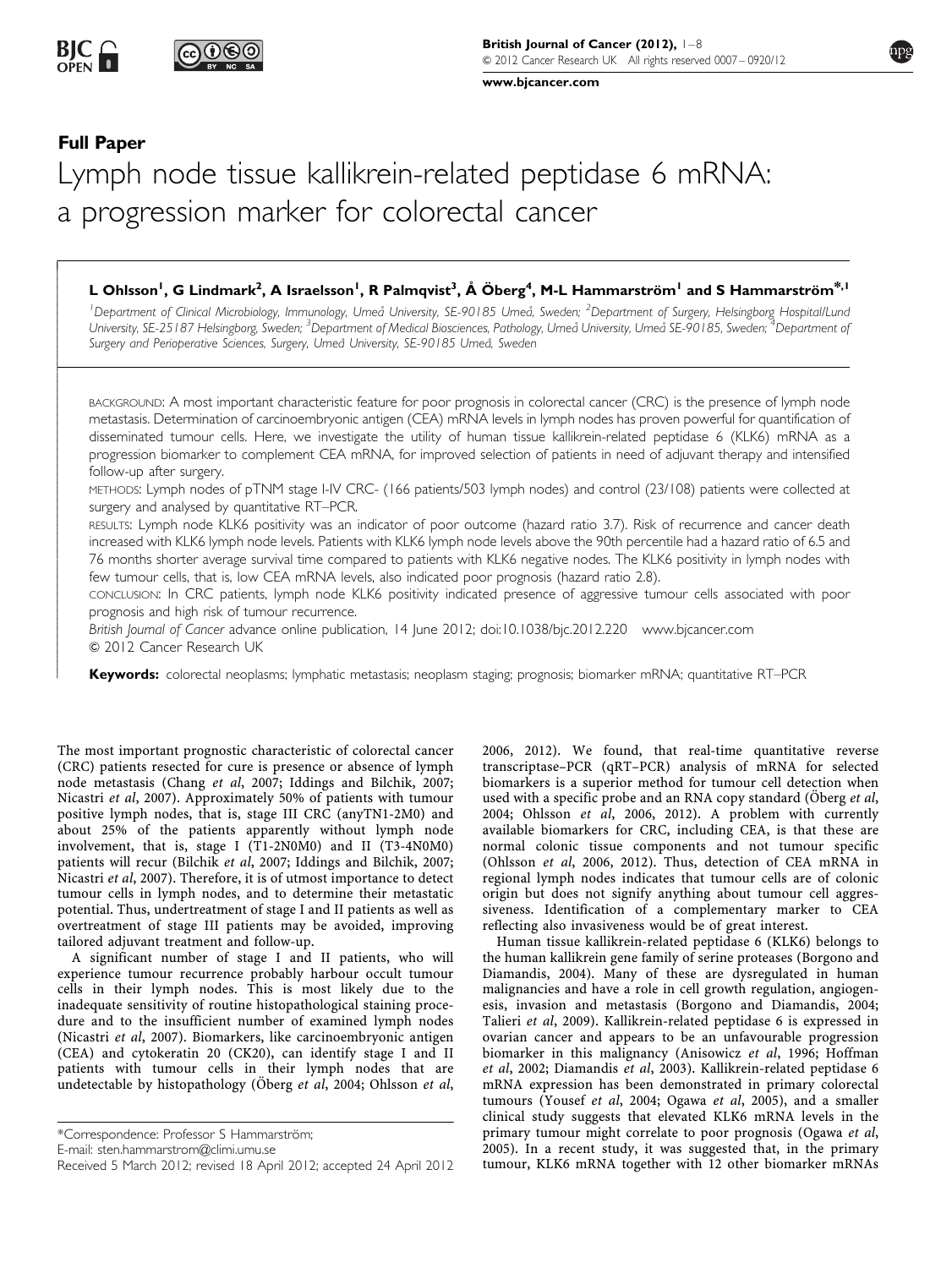[www.bjcancer.com](http://www.bjcancer.com)

# Full Paper

.<br>آ -------------İ -----------------------------------

# Lymph node tissue kallikrein-related peptidase 6 mRNA: a progression marker for colorectal cancer

# L Ohlsson<sup>1</sup>, G Lindmark<sup>2</sup>, A Israelsson<sup>1</sup>, R Palmqvist<sup>3</sup>, Å Öberg<sup>4</sup>, M-L Hammarström<sup>1</sup> and S Hammarström $^{*,1}$

<sup>1</sup>Department of Clinical Microbiology, Immunology, Umeå University, SE-90185 Umeå, Sweden; <sup>2</sup>Department of Surgery, Helsingborg Hospital/Luna University, SE-25187 Helsingborg, Sweden; <sup>3</sup>Department of Medical Biosciences, Pathology, Umeå University, Umeå SE-90185, Sweden; <sup>4</sup>Department of Surgery and Perioperative Sciences, Surgery, Umeå University, SE-90185 Umeå, Sweden

BACKGROUND: A most important characteristic feature for poor prognosis in colorectal cancer (CRC) is the presence of lymph node metastasis. Determination of carcinoembryonic antigen (CEA) mRNA levels in lymph nodes has proven powerful for quantification of disseminated tumour cells. Here, we investigate the utility of human tissue kallikrein-related peptidase 6 (KLK6) mRNA as a progression biomarker to complement CEA mRNA, for improved selection of patients in need of adjuvant therapy and intensified follow-up after surgery.

METHODS: Lymph nodes of pTNM stage I-IV CRC- (166 patients/503 lymph nodes) and control (23/108) patients were collected at surgery and analysed by quantitative RT–PCR.

RESULTS: Lymph node KLK6 positivity was an indicator of poor outcome (hazard ratio 3.7). Risk of recurrence and cancer death increased with KLK6 lymph node levels. Patients with KLK6 lymph node levels above the 90th percentile had a hazard ratio of 6.5 and 76 months shorter average survival time compared to patients with KLK6 negative nodes. The KLK6 positivity in lymph nodes with few tumour cells, that is, low CEA mRNA levels, also indicated poor prognosis (hazard ratio 2.8).

CONCLUSION: In CRC patients, lymph node KLK6 positivity indicated presence of aggressive tumour cells associated with poor prognosis and high risk of tumour recurrence.

British Journal of Cancer advance online publication, 14 June 2012; doi:[10.1038/bjc.2012.220](http://dx.doi.org/10.1038/bjc.2012.220)<www.bjcancer.com>  $©$  2012 Cancer Research UK

Keywords: colorectal neoplasms; lymphatic metastasis; neoplasm staging; prognosis; biomarker mRNA; quantitative RT–PCR

The most important prognostic characteristic of colorectal cancer (CRC) patients resected for cure is presence or absence of lymph node metastasis (Chang et al[, 2007; Iddings and Bilchik, 2007;](#page-7-0) Nicastri et al[, 2007\). Approximately 50% of patients with tumour](#page-7-0) [positive lymph nodes, that is, stage III CRC \(anyTN1-2M0\) and](#page-7-0) [about 25% of the patients apparently without lymph node](#page-7-0) [involvement, that is, stage I \(T1-2N0M0\) and II \(T3-4N0M0\)](#page-7-0) patients will recur (Bilchik et al[, 2007; Iddings and Bilchik, 2007;](#page-7-0) Nicastri et al[, 2007\). Therefore, it is of utmost importance to detect](#page-7-0) [tumour cells in lymph nodes, and to determine their metastatic](#page-7-0) [potential. Thus, undertreatment of stage I and II patients as well as](#page-7-0) [overtreatment of stage III patients may be avoided, improving](#page-7-0) [tailored adjuvant treatment and follow-up.](#page-7-0)

A significant number of stage I and II patients, who will experience tumour recurrence probably harbour occult tumour cells in their lymph nodes. This is most likely due to the inadequate sensitivity of routine histopathological staining procedure and to the insufficient number of examined lymph nodes (Nicastri et al[, 2007\). Biomarkers, like carcinoembryonic antigen](#page-7-0) [\(CEA\) and cytokeratin 20 \(CK20\), can identify stage I and II](#page-7-0) [patients with tumour cells in their lymph nodes that are](#page-7-0) undetectable by histopathology (Öberg et al, 2004; Ohlsson et al,

\*Correspondence: Professor S Hammarström;

E-mail: [sten.hammarstrom@climi.umu.se](mailto:sten.hammarstrom@climi.umu.se)

[2006, 2012\). We found, that real-time quantitative reverse](#page-7-0) [transcriptase–PCR \(qRT–PCR\) analysis of mRNA for selected](#page-7-0) [biomarkers is a superior method for tumour cell detection when](#page-7-0) used with a specific probe and an RNA copy standard (Oberg et al, 2004; Ohlsson et al[, 2006, 2012\). A problem with currently](#page-7-0) [available biomarkers for CRC, including CEA, is that these are](#page-7-0) [normal colonic tissue components and not tumour specific](#page-7-0) (Ohlsson et al[, 2006, 2012\). Thus, detection of CEA mRNA in](#page-7-0) [regional lymph nodes indicates that tumour cells are of colonic](#page-7-0) [origin but does not signify anything about tumour cell aggres](#page-7-0)[siveness. Identification of a complementary marker to CEA](#page-7-0) [reflecting also invasiveness would be of great interest.](#page-7-0)

Human tissue kallikrein-related peptidase 6 (KLK6) belongs to the human kallikrein gene family of serine proteases ([Borgono and](#page-7-0) [Diamandis, 2004\). Many of these are dysregulated in human](#page-7-0) [malignancies and have a role in cell growth regulation, angiogen](#page-7-0)[esis, invasion and metastasis \(Borgono and Diamandis, 2004;](#page-7-0) Talieri et al[, 2009\). Kallikrein-related peptidase 6 is expressed in](#page-7-0) [ovarian cancer and appears to be an unfavourable progression](#page-7-0) [biomarker in this malignancy \(Anisowicz](#page-7-0) et al, 1996; Hoffman et al, 2002; Diamandis et al[, 2003\). Kallikrein-related peptidase 6](#page-7-0) [mRNA expression has been demonstrated in primary colorectal](#page-7-0) tumours (Yousef et al, 2004; Ogawa et al[, 2005\), and a smaller](#page-7-0) [clinical study suggests that elevated KLK6 mRNA levels in the](#page-7-0) [primary tumour might correlate to poor prognosis \(Ogawa](#page-7-0) et al, [2005\). In a recent study, it was suggested that, in the primary](#page-7-0) [tumour, KLK6 mRNA together with 12 other biomarker mRNAs](#page-7-0)

Received 5 March 2012; revised 18 April 2012; accepted 24 April 2012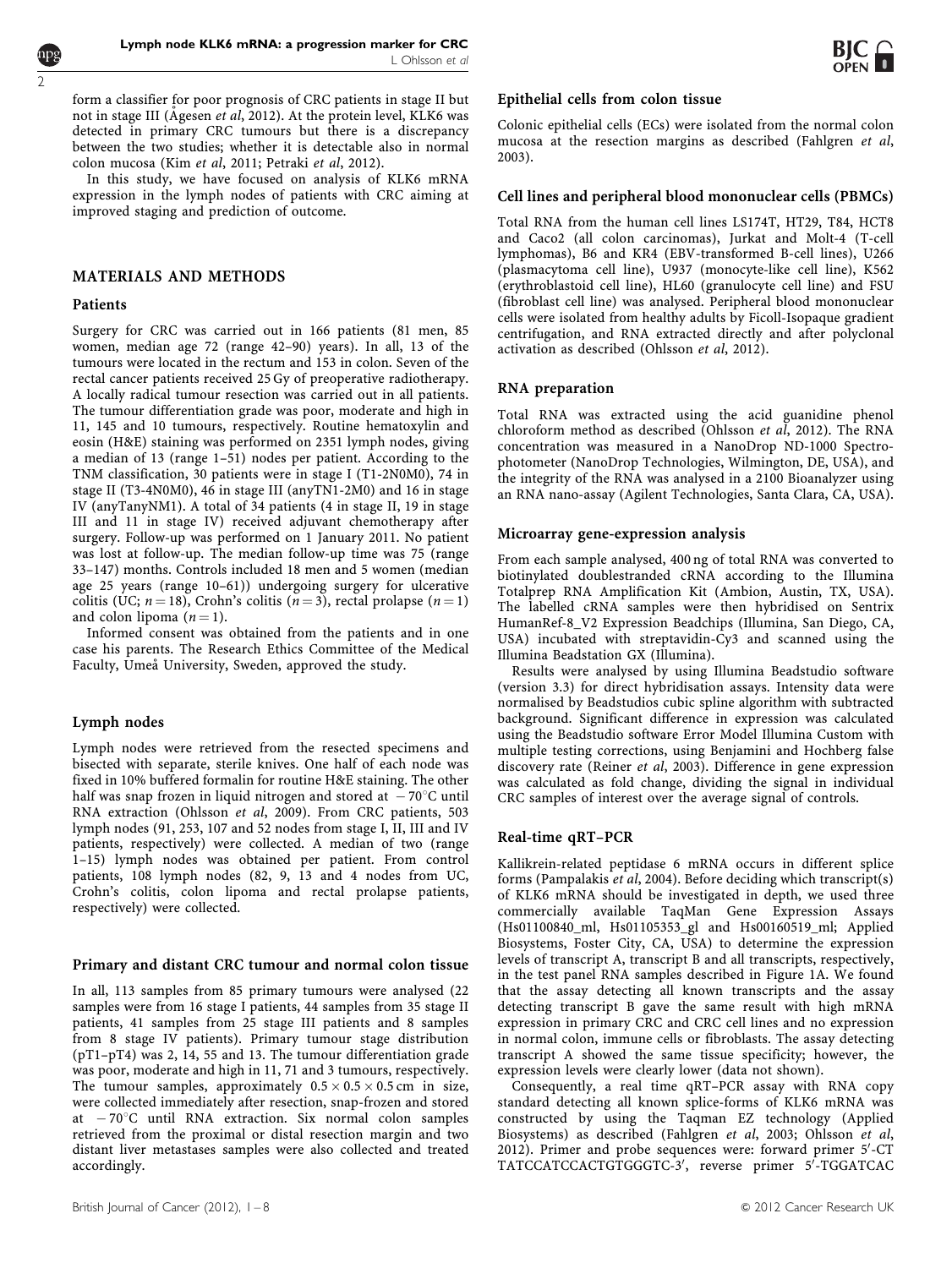

[form a classifier for poor prognosis of CRC patients in stage II but](#page-7-0) not in stage III (Ågesen et al[, 2012\). At the protein level, KLK6 was](#page-7-0) [detected in primary CRC tumours but there is a discrepancy](#page-7-0) [between the two studies; whether it is detectable also in normal](#page-7-0) [colon mucosa \(Kim](#page-7-0) et al, 2011; Petraki et al, 2012).

In this study, we have focused on analysis of KLK6 mRNA expression in the lymph nodes of patients with CRC aiming at improved staging and prediction of outcome.

#### MATERIALS AND METHODS

#### **Patients**

Surgery for CRC was carried out in 166 patients (81 men, 85 women, median age 72 (range 42–90) years). In all, 13 of the tumours were located in the rectum and 153 in colon. Seven of the rectal cancer patients received 25 Gy of preoperative radiotherapy. A locally radical tumour resection was carried out in all patients. The tumour differentiation grade was poor, moderate and high in 11, 145 and 10 tumours, respectively. Routine hematoxylin and eosin (H&E) staining was performed on 2351 lymph nodes, giving a median of 13 (range 1–51) nodes per patient. According to the TNM classification, 30 patients were in stage I (T1-2N0M0), 74 in stage II (T3-4N0M0), 46 in stage III (anyTN1-2M0) and 16 in stage IV (anyTanyNM1). A total of 34 patients (4 in stage II, 19 in stage III and 11 in stage IV) received adjuvant chemotherapy after surgery. Follow-up was performed on 1 January 2011. No patient was lost at follow-up. The median follow-up time was 75 (range 33–147) months. Controls included 18 men and 5 women (median age 25 years (range 10–61)) undergoing surgery for ulcerative colitis (UC;  $n = 18$ ), Crohn's colitis ( $n = 3$ ), rectal prolapse ( $n = 1$ ) and colon lipoma  $(n = 1)$ .

Informed consent was obtained from the patients and in one case his parents. The Research Ethics Committee of the Medical Faculty, Umeå University, Sweden, approved the study.

# Lymph nodes

Lymph nodes were retrieved from the resected specimens and bisected with separate, sterile knives. One half of each node was fixed in 10% buffered formalin for routine H&E staining. The other half was snap frozen in liquid nitrogen and stored at  $-70^{\circ}$ C until RNA extraction (Ohlsson et al[, 2009\). From CRC patients, 503](#page-7-0) [lymph nodes \(91, 253, 107 and 52 nodes from stage I, II, III and IV](#page-7-0) [patients, respectively\) were collected. A median of two \(range](#page-7-0) [1–15\) lymph nodes was obtained per patient. From control](#page-7-0) [patients, 108 lymph nodes \(82, 9, 13 and 4 nodes from UC,](#page-7-0) [Crohn's colitis, colon lipoma and rectal prolapse patients,](#page-7-0) [respectively\) were collected.](#page-7-0)

#### Primary and distant CRC tumour and normal colon tissue

In all, 113 samples from 85 primary tumours were analysed (22 samples were from 16 stage I patients, 44 samples from 35 stage II patients, 41 samples from 25 stage III patients and 8 samples from 8 stage IV patients). Primary tumour stage distribution (pT1–pT4) was 2, 14, 55 and 13. The tumour differentiation grade was poor, moderate and high in 11, 71 and 3 tumours, respectively. The tumour samples, approximately  $0.5 \times 0.5 \times 0.5$  cm in size, were collected immediately after resection, snap-frozen and stored at  $-70^{\circ}$ C until RNA extraction. Six normal colon samples retrieved from the proximal or distal resection margin and two distant liver metastases samples were also collected and treated accordingly.

# Epithelial cells from colon tissue

Colonic epithelial cells (ECs) were isolated from the normal colon mucosa at the resection margins as described ([Fahlgren](#page-7-0) et al, [2003\).](#page-7-0)

#### Cell lines and peripheral blood mononuclear cells (PBMCs)

Total RNA from the human cell lines LS174T, HT29, T84, HCT8 and Caco2 (all colon carcinomas), Jurkat and Molt-4 (T-cell lymphomas), B6 and KR4 (EBV-transformed B-cell lines), U266 (plasmacytoma cell line), U937 (monocyte-like cell line), K562 (erythroblastoid cell line), HL60 (granulocyte cell line) and FSU (fibroblast cell line) was analysed. Peripheral blood mononuclear cells were isolated from healthy adults by Ficoll-Isopaque gradient centrifugation, and RNA extracted directly and after polyclonal activation as described ([Ohlsson](#page-7-0) et al, 2012).

#### RNA preparation

Total RNA was extracted using the acid guanidine phenol chloroform method as described (Ohlsson et al[, 2012\). The RNA](#page-7-0) [concentration was measured in a NanoDrop ND-1000 Spectro](#page-7-0)[photometer \(NanoDrop Technologies, Wilmington, DE, USA\), and](#page-7-0) [the integrity of the RNA was analysed in a 2100 Bioanalyzer using](#page-7-0) [an RNA nano-assay \(Agilent Technologies, Santa Clara, CA, USA\).](#page-7-0)

#### Microarray gene-expression analysis

From each sample analysed, 400 ng of total RNA was converted to biotinylated doublestranded cRNA according to the Illumina Totalprep RNA Amplification Kit (Ambion, Austin, TX, USA). The labelled cRNA samples were then hybridised on Sentrix HumanRef-8\_V2 Expression Beadchips (Illumina, San Diego, CA, USA) incubated with streptavidin-Cy3 and scanned using the Illumina Beadstation GX (Illumina).

Results were analysed by using Illumina Beadstudio software (version 3.3) for direct hybridisation assays. Intensity data were normalised by Beadstudios cubic spline algorithm with subtracted background. Significant difference in expression was calculated using the Beadstudio software Error Model Illumina Custom with multiple testing corrections, using Benjamini and Hochberg false discovery rate (Reiner et al[, 2003\). Difference in gene expression](#page-7-0) [was calculated as fold change, dividing the signal in individual](#page-7-0) [CRC samples of interest over the average signal of controls.](#page-7-0)

#### Real-time qRT–PCR

Kallikrein-related peptidase 6 mRNA occurs in different splice forms (Pampalakis et al[, 2004\). Before deciding which transcript\(s\)](#page-7-0) [of KLK6 mRNA should be investigated in depth, we used three](#page-7-0) [commercially available TaqMan Gene Expression Assays](#page-7-0) [\(Hs01100840\\_ml, Hs01105353\\_gl and Hs00160519\\_ml; Applied](#page-7-0) [Biosystems, Foster City, CA, USA\) to determine the expression](#page-7-0) [levels of transcript A, transcript B and all transcripts, respectively,](#page-7-0) [in the test panel RNA samples described in Figure 1A. We found](#page-2-0) [that the assay detecting all known transcripts and the assay](#page-2-0) [detecting transcript B gave the same result with high mRNA](#page-2-0) [expression in primary CRC and CRC cell lines and no expression](#page-2-0) [in normal colon, immune cells or fibroblasts. The assay detecting](#page-2-0) [transcript A showed the same tissue specificity; however, the](#page-2-0) [expression levels were clearly lower \(data not shown\).](#page-2-0)

Consequently, a real time qRT–PCR assay with RNA copy standard detecting all known splice-forms of KLK6 mRNA was constructed by using the Taqman EZ technology (Applied Biosystems) as described (Fahlgren et al[, 2003; Ohlsson](#page-7-0) et al, [2012\). Primer and probe sequences were: forward primer 5](#page-7-0)'[-CT](#page-7-0) [TATCCATCCACTGTGGGTC-3](#page-7-0)'[, reverse primer 5](#page-7-0)<sup>7</sup>[-TGGATCAC](#page-7-0)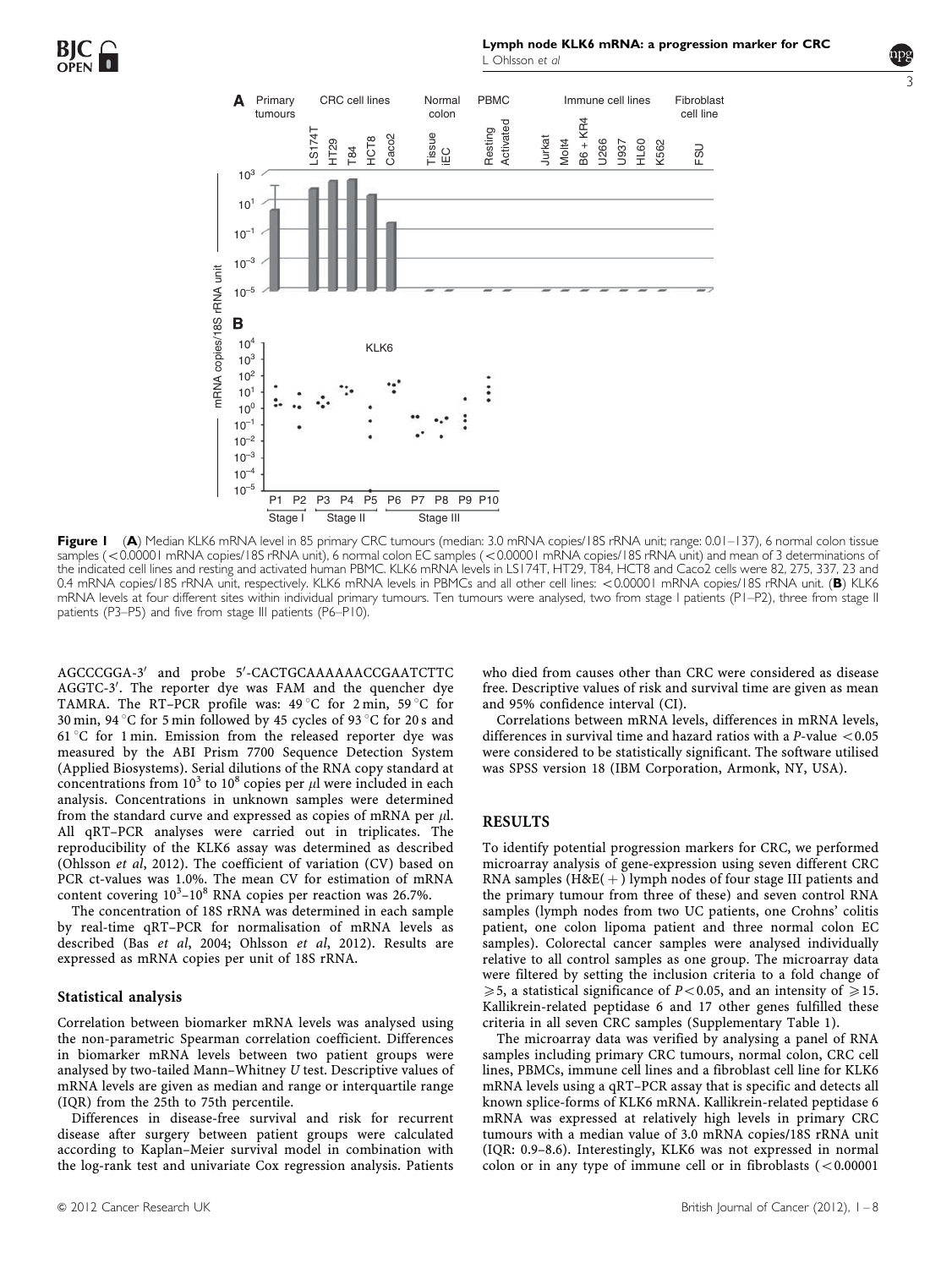<span id="page-2-0"></span>

Figure I (A) Median KLK6 mRNA level in 85 primary CRC tumours (median: 3.0 mRNA copies/18S rRNA unit; range: 0.01–137), 6 normal colon tissue samples (<0.00001 mRNA copies/18S rRNA unit), 6 normal colon EC samples (<0.00001 mRNA copies/18S rRNA unit) and mean of 3 determinations of the indicated cell lines and resting and activated human PBMC. KLK6 mRNA levels in LS174T, HT29, T84, HCT8 and Caco2 cells were 82, 275, 337, 23 and 0.4 mRNA copies/18S rRNA unit, respectively. KLK6 mRNA levels in PBMCs and all other cell lines: <0.00001 mRNA copies/18S rRNA unit. (B) KLK6 mRNA levels at four different sites within individual primary tumours. Ten tumours were analysed, two from stage I patients (PI–P2), three from stage II patients (P3–P5) and five from stage III patients (P6–P10).

[AGCCCGGA-3](#page-7-0)' [and probe 5](#page-7-0)'[-CACTGCAAAAAACCGAATCTTC](#page-7-0) [AGGTC-3](#page-7-0)'[. The reporter dye was FAM and the quencher dye](#page-7-0) TAMRA. The RT–PCR profile was:  $49^{\circ}$ C for 2 min,  $59^{\circ}$ C for 30 min, 94 °[C for 5 min followed by 45 cycles of 93](#page-7-0) °C for 20 s and 61 °[C for 1 min. Emission from the released reporter dye was](#page-7-0) [measured by the ABI Prism 7700 Sequence Detection System](#page-7-0) [\(Applied Biosystems\). Serial dilutions of the RNA copy standard at](#page-7-0) [concentrations](#page-7-0) [from](#page-7-0)  $10^3$  $10^3$  [to](#page-7-0)  $10^8$  copies per  $\mu$ [l were included in each](#page-7-0) [analysis. Concentrations in unknown samples were determined](#page-7-0) [from the standard curve and expressed as copies of mRNA per](#page-7-0)  $\mu$ l. [All qRT–PCR analyses were carried out in triplicates. The](#page-7-0) [reproducibility of the KLK6 assay was determined as described](#page-7-0) (Ohlsson et al[, 2012\). The coefficient of variation \(CV\) based on](#page-7-0) [PCR ct-values was 1.0%. The mean CV for estimation of mRNA](#page-7-0) [content](#page-7-0) [covering](#page-7-0)  $10^3 - 10^8$  $10^3 - 10^8$  [RNA copies per reaction was 26.7%.](#page-7-0)

The concentration of 18S rRNA was determined in each sample by real-time qRT–PCR for normalisation of mRNA levels as described (Bas et al, 2004; Ohlsson et al[, 2012\). Results are](#page-7-0) [expressed as mRNA copies per unit of 18S rRNA.](#page-7-0)

#### Statistical analysis

Correlation between biomarker mRNA levels was analysed using the non-parametric Spearman correlation coefficient. Differences in biomarker mRNA levels between two patient groups were analysed by two-tailed Mann–Whitney U test. Descriptive values of mRNA levels are given as median and range or interquartile range (IQR) from the 25th to 75th percentile.

Differences in disease-free survival and risk for recurrent disease after surgery between patient groups were calculated according to Kaplan–Meier survival model in combination with the log-rank test and univariate Cox regression analysis. Patients

who died from causes other than CRC were considered as disease free. Descriptive values of risk and survival time are given as mean and 95% confidence interval (CI).

Correlations between mRNA levels, differences in mRNA levels, differences in survival time and hazard ratios with a  $P$ -value  $< 0.05$ were considered to be statistically significant. The software utilised was SPSS version 18 (IBM Corporation, Armonk, NY, USA).

#### RESULTS

To identify potential progression markers for CRC, we performed microarray analysis of gene-expression using seven different CRC RNA samples  $(H \& E(+)$  lymph nodes of four stage III patients and the primary tumour from three of these) and seven control RNA samples (lymph nodes from two UC patients, one Crohns' colitis patient, one colon lipoma patient and three normal colon EC samples). Colorectal cancer samples were analysed individually relative to all control samples as one group. The microarray data were filtered by setting the inclusion criteria to a fold change of  $\geq 5$ , a statistical significance of *P*<0.05, and an intensity of  $\geq 15$ . Kallikrein-related peptidase 6 and 17 other genes fulfilled these criteria in all seven CRC samples (Supplementary Table 1).

The microarray data was verified by analysing a panel of RNA samples including primary CRC tumours, normal colon, CRC cell lines, PBMCs, immune cell lines and a fibroblast cell line for KLK6 mRNA levels using a qRT–PCR assay that is specific and detects all known splice-forms of KLK6 mRNA. Kallikrein-related peptidase 6 mRNA was expressed at relatively high levels in primary CRC tumours with a median value of 3.0 mRNA copies/18S rRNA unit (IQR: 0.9–8.6). Interestingly, KLK6 was not expressed in normal colon or in any type of immune cell or in fibroblasts  $\approx 0.00001$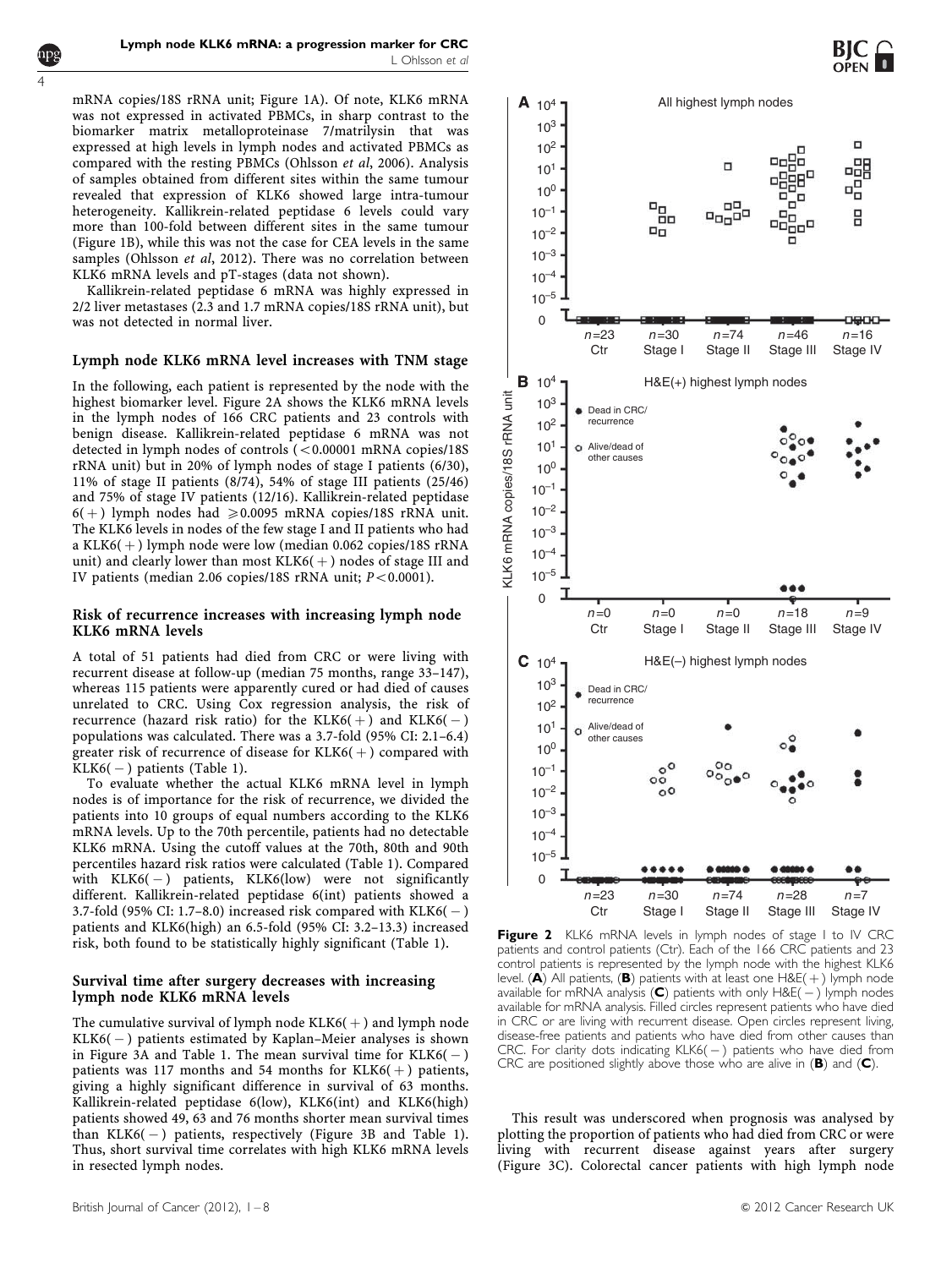mRNA copies/18S rRNA unit; [Figure 1A\). Of note, KLK6 mRNA](#page-2-0) [was not expressed in activated PBMCs, in sharp contrast to the](#page-2-0) [biomarker matrix metalloproteinase 7/matrilysin that was](#page-2-0) [expressed at high levels in lymph nodes and activated PBMCs as](#page-2-0) [compared with the resting PBMCs \(Ohlsson](#page-7-0) et al, 2006). Analysis [of samples obtained from different sites within the same tumour](#page-7-0) [revealed that expression of KLK6 showed large intra-tumour](#page-7-0) [heterogeneity. Kallikrein-related peptidase 6 levels could vary](#page-7-0) [more than 100-fold between different sites in the same tumour](#page-7-0) [\(Figure 1B\), while this was not the case for CEA levels in the same](#page-2-0) samples (Ohlsson et al[, 2012\). There was no correlation between](#page-7-0) [KLK6 mRNA levels and pT-stages \(data not shown\).](#page-7-0)

<span id="page-3-0"></span>4

Kallikrein-related peptidase 6 mRNA was highly expressed in 2/2 liver metastases (2.3 and 1.7 mRNA copies/18S rRNA unit), but was not detected in normal liver.

#### Lymph node KLK6 mRNA level increases with TNM stage

In the following, each patient is represented by the node with the highest biomarker level. Figure 2A shows the KLK6 mRNA levels in the lymph nodes of 166 CRC patients and 23 controls with benign disease. Kallikrein-related peptidase 6 mRNA was not detected in lymph nodes of controls  $(<0.00001$  mRNA copies/18S rRNA unit) but in 20% of lymph nodes of stage I patients (6/30), 11% of stage II patients (8/74), 54% of stage III patients (25/46) and 75% of stage IV patients (12/16). Kallikrein-related peptidase  $6(+)$  lymph nodes had  $\geq 0.0095$  mRNA copies/18S rRNA unit. The KLK6 levels in nodes of the few stage I and II patients who had a KLK6( $+$ ) lymph node were low (median 0.062 copies/18S rRNA unit) and clearly lower than most  $KLK6(+)$  nodes of stage III and IV patients (median 2.06 copies/18S rRNA unit;  $P < 0.0001$ ).

#### Risk of recurrence increases with increasing lymph node KLK6 mRNA levels

A total of 51 patients had died from CRC or were living with recurrent disease at follow-up (median 75 months, range 33–147), whereas 115 patients were apparently cured or had died of causes unrelated to CRC. Using Cox regression analysis, the risk of recurrence (hazard risk ratio) for the  $\text{KLK6}(+)$  and  $\text{KLK6}(-)$ populations was calculated. There was a 3.7-fold (95% CI: 2.1–6.4) greater risk of recurrence of disease for  $KLK6(+)$  compared with KLK6( - ) patients ([Table 1\).](#page-4-0)

To evaluate whether the actual KLK6 mRNA level in lymph nodes is of importance for the risk of recurrence, we divided the patients into 10 groups of equal numbers according to the KLK6 mRNA levels. Up to the 70th percentile, patients had no detectable KLK6 mRNA. Using the cutoff values at the 70th, 80th and 90th percentiles hazard risk ratios were calculated [\(Table 1\). Compared](#page-4-0) [with KLK6\(](#page-4-0) - [\) patients, KLK6\(low\) were not significantly](#page-4-0) [different. Kallikrein-related peptidase 6\(int\) patients showed a](#page-4-0) [3.7-fold \(95% CI: 1.7–8.0\) increased risk compared with KLK6\(](#page-4-0)  $-$  [\)](#page-4-0) [patients and KLK6\(high\) an 6.5-fold \(95% CI: 3.2–13.3\) increased](#page-4-0) [risk, both found to be statistically highly significant \(Table 1\).](#page-4-0)

#### Survival time after surgery decreases with increasing lymph node KLK6 mRNA levels

The cumulative survival of lymph node  $KLK6(+)$  and lymph node KLK6( - ) patients estimated by Kaplan–Meier analyses is shown in Figure 3A and Table 1. The mean survival time for  $\text{KLK6}\text{(}-\text{)}$  $\text{KLK6}\text{(}-\text{)}$  $\text{KLK6}\text{(}-\text{)}$ patients was 117 months and 54 months for  $KLK6(+)$  patients, [giving a highly significant difference in survival of 63 months.](#page-4-0) [Kallikrein-related peptidase 6\(low\), KLK6\(int\) and KLK6\(high\)](#page-4-0) [patients showed 49, 63 and 76 months shorter mean survival times](#page-4-0) [than KLK6\(](#page-4-0) - [\) patients, respectively \(Figure 3B and Table 1\).](#page-4-0) [Thus, short survival time correlates with high KLK6 mRNA levels](#page-4-0) [in resected lymph nodes.](#page-4-0)





Figure 2 KLK6 mRNA levels in lymph nodes of stage I to IV CRC patients and control patients (Ctr). Each of the 166 CRC patients and 23 control patients is represented by the lymph node with the highest KLK6 level. (A) All patients, (B) patients with at least one  $H \& E(+)$  lymph node available for mRNA analysis  $(C)$  patients with only  $H \& E(-)$  lymph nodes available for mRNA analysis. Filled circles represent patients who have died in CRC or are living with recurrent disease. Open circles represent living, disease-free patients and patients who have died from other causes than CRC. For clarity dots indicating  $KLK6(-)$  patients who have died from CRC are positioned slightly above those who are alive in (B) and (C).

This result was underscored when prognosis was analysed by plotting the proportion of patients who had died from CRC or were living with recurrent disease against years after surgery ([Figure 3C\). Colorectal cancer patients with high lymph node](#page-4-0)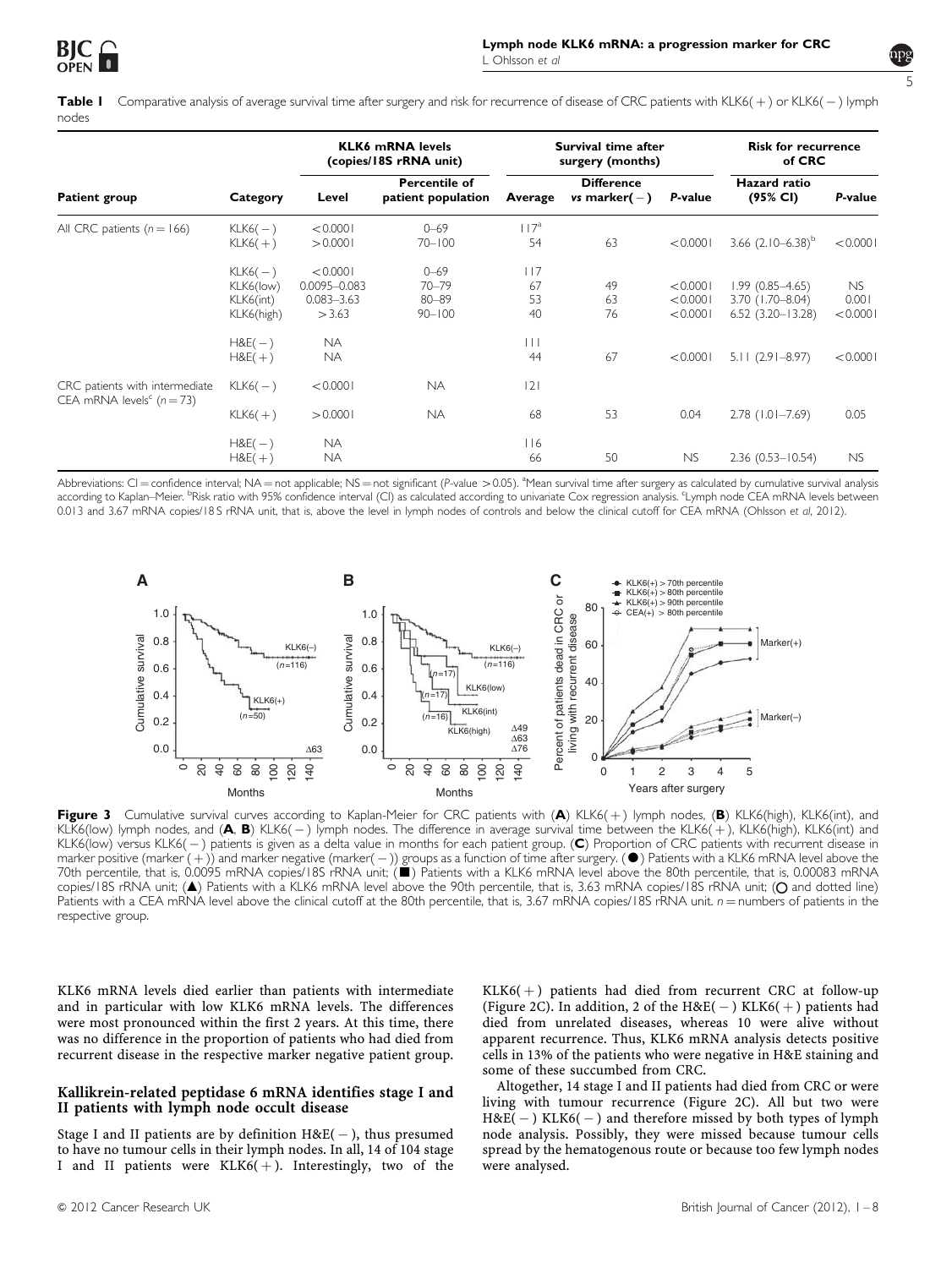

<span id="page-4-0"></span>**Table I** Comparative analysis of average survival time after surgery and risk for recurrence of disease of CRC patients with KLK6(+) or KLK6( – ) lymph nodes

| <b>Patient group</b>                                                    | Category                                          | <b>KLK6 mRNA levels</b><br>(copies/18S rRNA unit)        |                                                  | Survival time after<br>surgery (months) |                                      |                                  | <b>Risk for recurrence</b><br>of CRC                              |                                |
|-------------------------------------------------------------------------|---------------------------------------------------|----------------------------------------------------------|--------------------------------------------------|-----------------------------------------|--------------------------------------|----------------------------------|-------------------------------------------------------------------|--------------------------------|
|                                                                         |                                                   | Level                                                    | Percentile of<br>patient population              | Average                                 | <b>Difference</b><br>vs marker $(-)$ | P-value                          | <b>Hazard</b> ratio<br>(95% CI)                                   | P-value                        |
| All CRC patients ( $n = 166$ )                                          | $KLK6(-)$<br>$KLK6(+)$                            | < 0.0001<br>> 0.0001                                     | $0 - 69$<br>$70 - 100$                           | $117^a$<br>54                           | 63                                   | < 0.0001                         | 3.66 $(2.10-6.38)^{b}$                                            | < 0.0001                       |
|                                                                         | $KLK6(-)$<br>KLK6(low)<br>KLK6(int)<br>KLK6(high) | < 0.0001<br>$0.0095 - 0.083$<br>$0.083 - 3.63$<br>> 3.63 | $0 - 69$<br>$70 - 79$<br>$80 - 89$<br>$90 - 100$ | 117<br>67<br>53<br>40                   | 49<br>63<br>76                       | < 0.0001<br>< 0.0001<br>< 0.0001 | $1.99(0.85 - 4.65)$<br>$3.70$ (1.70-8.04)<br>$6.52(3.20 - 13.28)$ | <b>NS</b><br>0.001<br>< 0.0001 |
|                                                                         | $H8E(-)$<br>$H8E(+)$                              | <b>NA</b><br><b>NA</b>                                   |                                                  | $\vert \ \vert$<br>44                   | 67                                   | < 0.0001                         | $5.11(2.91 - 8.97)$                                               | < 0.0001                       |
| CRC patients with intermediate<br>CEA mRNA levels <sup>c</sup> $(n=73)$ | $KLK6(-)$                                         | < 0.0001                                                 | <b>NA</b>                                        | 2                                       |                                      |                                  |                                                                   |                                |
|                                                                         | $KLK6(+)$                                         | > 0.0001                                                 | <b>NA</b>                                        | 68                                      | 53                                   | 0.04                             | $2.78$ (1.01-7.69)                                                | 0.05                           |
|                                                                         | $H8E(-)$<br>$H&E(+)$                              | <b>NA</b><br><b>NA</b>                                   |                                                  | 116<br>66                               | 50                                   | NS                               | $2.36(0.53 - 10.54)$                                              | <b>NS</b>                      |

Abbreviations: CI = confidence interval; NA = not applicable; NS = not significant (P-value > 0.05). <sup>a</sup>Mean survival time after surgery as calculated by cumulative survival analysis according to Kaplan–Meier. <sup>b</sup>Risk ratio with 95% confidence interval (CI) as calculated according to univariate Cox regression analysis. 'Lymph node CEA mRNA levels between 0.013 and 3.67 mRNA copies/18 S rRNA unit, that is, above the level in lymph nodes of controls and below the clinical cutoff for CEA mRNA ([Ohlsson](#page-7-0) et al, 2012[\).](#page-7-0)



Figure 3 Cumulative survival curves according to Kaplan-Meier for CRC patients with  $(A)$  KLK6(+) lymph nodes,  $(B)$  KLK6(high), KLK6(int), and KLK6(low) lymph nodes, and (**A, B**) KLK6( – ) lymph nodes. The difference in average survival time between the KLK6(+), KLK6(high), KLK6(int) and KLK6(low) versus KLK6( — ) patients is given as a delta value in months for each patient group. (C) Proportion of CRC patients with recurrent disease in marker positive (marker  $(+)$ ) and marker negative (marker(  $-)$ ) groups as a function of time after surgery. ( $\bullet$ ) Patients with a KLK6 mRNA level above the 70th percentile, that is, 0.0095 mRNA copies/18S rRNA unit; ( $\blacksquare$ ) Patients with a KLK6 mRNA level above the 80th percentile, that is, 0.00083 mRNA copies/18S rRNA unit; (A) Patients with a KLK6 mRNA level above the 90th percentile, that is, 3.63 mRNA copies/18S rRNA unit; (O and dotted line) Patients with a CEA mRNA level above the clinical cutoff at the 80th percentile, that is, 3.67 mRNA copies/18S rRNA unit.  $n =$  numbers of patients in the respective group.

KLK6 mRNA levels died earlier than patients with intermediate and in particular with low KLK6 mRNA levels. The differences were most pronounced within the first 2 years. At this time, there was no difference in the proportion of patients who had died from recurrent disease in the respective marker negative patient group.

### Kallikrein-related peptidase 6 mRNA identifies stage I and II patients with lymph node occult disease

Stage I and II patients are by definition  $H\&E(-)$ , thus presumed to have no tumour cells in their lymph nodes. In all, 14 of 104 stage I and II patients were  $KLK6(+)$ . Interestingly, two of the  $KLK6(+)$  patients had died from recurrent CRC at follow-up (Figure 2C). In addition, 2 of the  $H\&E(-)$  KLK6(+[\) patients had](#page-3-0) [died from unrelated diseases, whereas 10 were alive without](#page-3-0) [apparent recurrence. Thus, KLK6 mRNA analysis detects positive](#page-3-0) [cells in 13% of the patients who were negative in H&E staining and](#page-3-0) [some of these succumbed from CRC.](#page-3-0)

Altogether, 14 stage I and II patients had died from CRC or were living with tumour recurrence ([Figure 2C\). All but two were](#page-3-0)  $H&E(-)$  $H&E(-)$  KLK6(-[\) and therefore missed by both types of lymph](#page-3-0) [node analysis. Possibly, they were missed because tumour cells](#page-3-0) [spread by the hematogenous route or because too few lymph nodes](#page-3-0) [were analysed.](#page-3-0)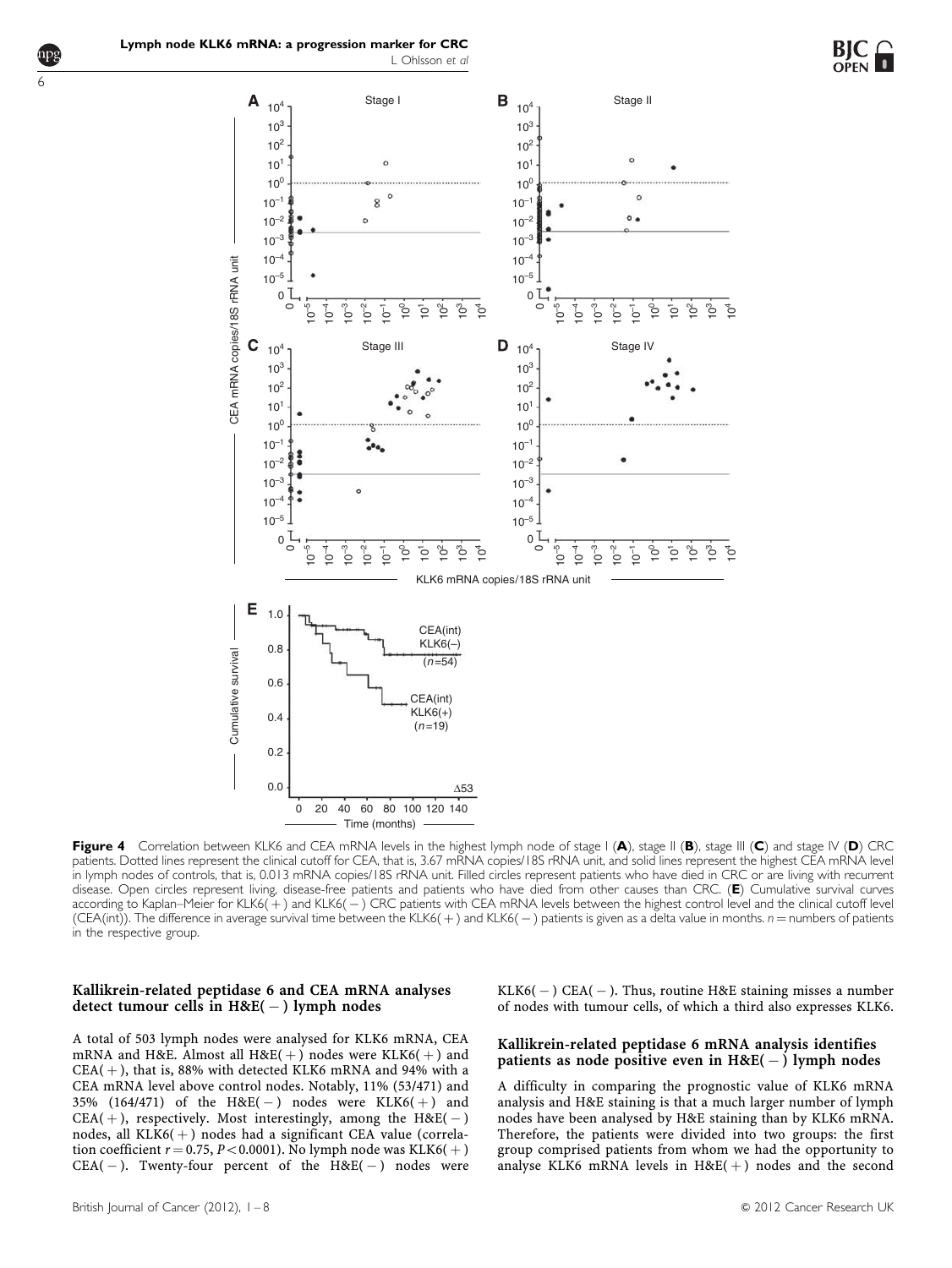

<span id="page-5-0"></span>6



Figure 4 Correlation between KLK6 and CEA mRNA levels in the highest lymph node of stage I (A), stage II (B), stage III (C) and stage IV (D) CRC patients. Dotted lines represent the clinical cutoff for CEA, that is, 3.67 mRNA copies/18S rRNA unit, and solid lines represent the highest CEA mRNA level in lymph nodes of controls, that is, 0.013 mRNA copies/18S rRNA unit. Filled circles represent patients who have died in CRC or are living with recurrent disease. Open circles represent living, disease-free patients and patients who have died from other causes than CRC. (E) Cumulative survival curves according to Kaplan–Meier for KLK6(+) and KLK6( – ) CRC patients with CEA mRNA levels between the highest control level and the clinical cutoff level (CEA(int)). The difference in average survival time between the KLK6(+) and KLK6(-) patients is given as a delta value in months.  $n =$  numbers of patients in the respective group.

# Kallikrein-related peptidase 6 and CEA mRNA analyses detect tumour cells in  $H\&E(-)$  lymph nodes

A total of 503 lymph nodes were analysed for KLK6 mRNA, CEA mRNA and H&E. Almost all  $H\&E(+)$  nodes were KLK6( $+)$  and  $CEA( + )$ , that is, 88% with detected KLK6 mRNA and 94% with a CEA mRNA level above control nodes. Notably, 11% (53/471) and 35% (164/471) of the  $H\&E(-)$  nodes were KLK6(+) and  $CEA(+)$ , respectively. Most interestingly, among the  $H\&E(-)$ nodes, all  $KLK6(+)$  nodes had a significant CEA value (correlation coefficient  $r = 0.75$ ,  $P < 0.0001$ ). No lymph node was KLK6(+)  $CEA(-)$ . Twenty-four percent of the  $H\&E(-)$  nodes were

 $KLK6(-)$  CEA(-). Thus, routine H&E staining misses a number of nodes with tumour cells, of which a third also expresses KLK6.

# Kallikrein-related peptidase 6 mRNA analysis identifies patients as node positive even in  $H\&E(-)$  lymph nodes

A difficulty in comparing the prognostic value of KLK6 mRNA analysis and H&E staining is that a much larger number of lymph nodes have been analysed by H&E staining than by KLK6 mRNA. Therefore, the patients were divided into two groups: the first group comprised patients from whom we had the opportunity to analyse KLK6 mRNA levels in  $H\&E(+)$  nodes and the second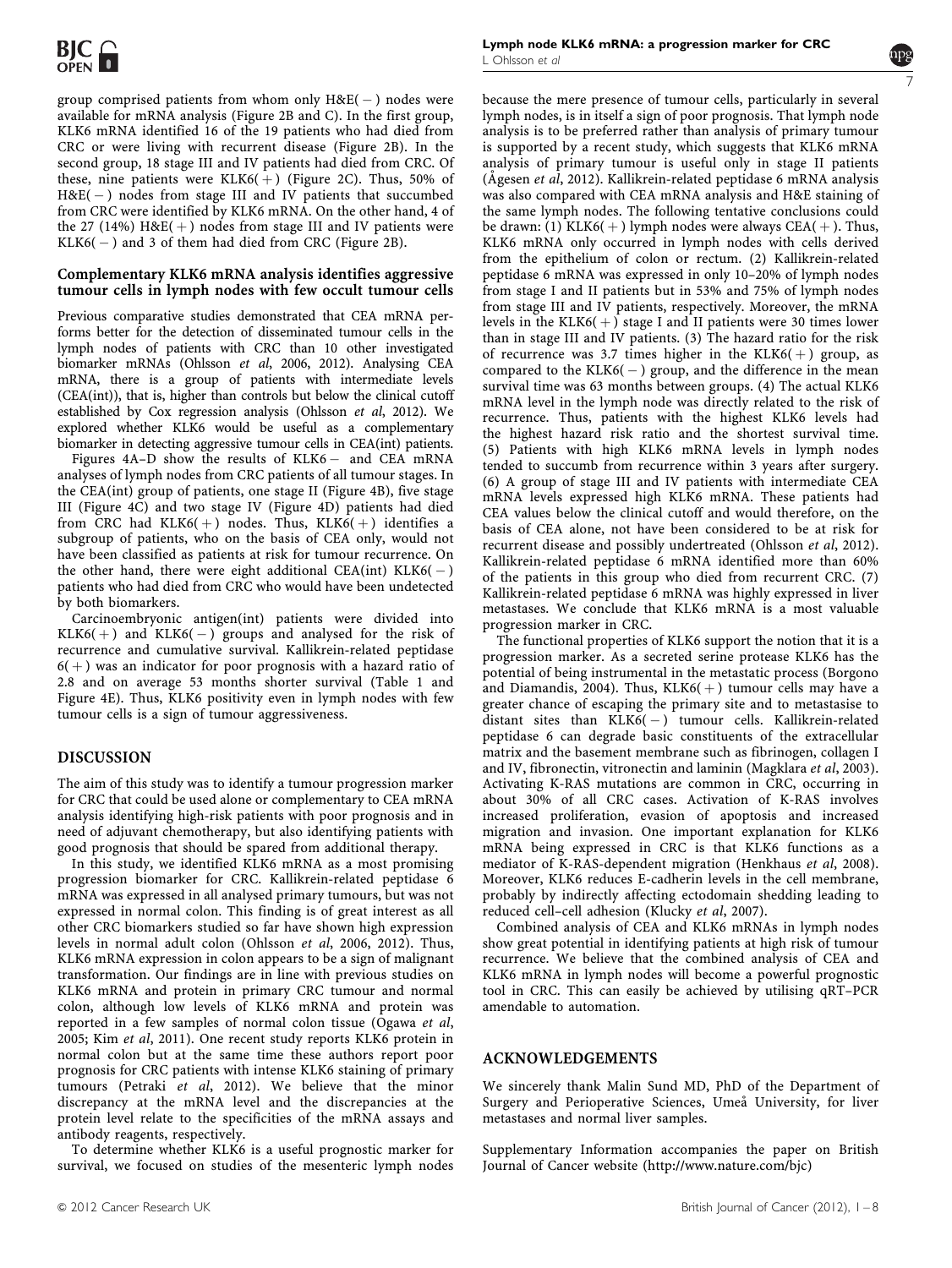group comprised patients from whom only  $\rm{H\&E(-)}$  nodes were available for mRNA analysis ([Figure 2B and C\). In the first group,](#page-3-0) [KLK6 mRNA identified 16 of the 19 patients who had died from](#page-3-0) [CRC or were living with recurrent disease \(Figure 2B\). In the](#page-3-0) [second group, 18 stage III and IV patients had died from CRC. Of](#page-3-0) [these, nine patients were KLK6\(](#page-3-0) $+$ [\) \(Figure 2C\). Thus, 50% of](#page-3-0) [H&E\(](#page-3-0) - [\) nodes from stage III and IV patients that succumbed](#page-3-0) [from CRC were identified by KLK6 mRNA. On the other hand, 4 of](#page-3-0) [the 27 \(14%\) H&E\(](#page-3-0) $+$ [\) nodes from stage III and IV patients were](#page-3-0) [KLK6\(](#page-3-0) - [\) and 3 of them had died from CRC \(Figure 2B\).](#page-3-0)

### Complementary KLK6 mRNA analysis identifies aggressive tumour cells in lymph nodes with few occult tumour cells

Previous comparative studies demonstrated that CEA mRNA performs better for the detection of disseminated tumour cells in the lymph nodes of patients with CRC than 10 other investigated biomarker mRNAs (Ohlsson et al[, 2006, 2012\). Analysing CEA](#page-7-0) [mRNA, there is a group of patients with intermediate levels](#page-7-0) [\(CEA\(int\)\), that is, higher than controls but below the clinical cutoff](#page-7-0) [established by Cox regression analysis \(Ohlsson](#page-7-0) et al, 2012). We [explored whether KLK6 would be useful as a complementary](#page-7-0) [biomarker in detecting aggressive tumour cells in CEA\(int\) patients.](#page-7-0)

Figures 4A-D show the results of KLK6 - [and CEA mRNA](#page-5-0) [analyses of lymph nodes from CRC patients of all tumour stages. In](#page-5-0) [the CEA\(int\) group of patients, one stage II \(Figure 4B\), five stage](#page-5-0) [III \(Figure 4C\) and two stage IV \(Figure 4D\) patients had died](#page-5-0) [from CRC had KLK6\(](#page-5-0) $+$ [\) nodes. Thus, KLK6\(](#page-5-0) $+$ [\) identifies a](#page-5-0) [subgroup of patients, who on the basis of CEA only, would not](#page-5-0) [have been classified as patients at risk for tumour recurrence. On](#page-5-0) the other hand, there were eight additional  $CEA(int)$  $CEA(int)$   $KLK6(-)$ [patients who had died from CRC who would have been undetected](#page-5-0) [by both biomarkers.](#page-5-0)

Carcinoembryonic antigen(int) patients were divided into  $KLK6(+)$  and  $KLK6(-)$  groups and analysed for the risk of recurrence and cumulative survival. Kallikrein-related peptidase  $6( + )$  was an indicator for poor prognosis with a hazard ratio of 2.8 and on average 53 months shorter survival [\(Table 1 and](#page-4-0) [Figure 4E\). Thus, KLK6 positivity even in lymph nodes with few](#page-5-0) [tumour cells is a sign of tumour aggressiveness.](#page-5-0)

# DISCUSSION

The aim of this study was to identify a tumour progression marker for CRC that could be used alone or complementary to CEA mRNA analysis identifying high-risk patients with poor prognosis and in need of adjuvant chemotherapy, but also identifying patients with good prognosis that should be spared from additional therapy.

In this study, we identified KLK6 mRNA as a most promising progression biomarker for CRC. Kallikrein-related peptidase 6 mRNA was expressed in all analysed primary tumours, but was not expressed in normal colon. This finding is of great interest as all other CRC biomarkers studied so far have shown high expression levels in normal adult colon (Ohlsson et al[, 2006, 2012\). Thus,](#page-7-0) [KLK6 mRNA expression in colon appears to be a sign of malignant](#page-7-0) [transformation. Our findings are in line with previous studies on](#page-7-0) [KLK6 mRNA and protein in primary CRC tumour and normal](#page-7-0) [colon, although low levels of KLK6 mRNA and protein was](#page-7-0) [reported in a few samples of normal colon tissue \(Ogawa](#page-7-0) et al, 2005; Kim et al[, 2011\). One recent study reports KLK6 protein in](#page-7-0) [normal colon but at the same time these authors report poor](#page-7-0) [prognosis for CRC patients with intense KLK6 staining of primary](#page-7-0) tumours (Petraki et al[, 2012\). We believe that the minor](#page-7-0) [discrepancy at the mRNA level and the discrepancies at the](#page-7-0) [protein level relate to the specificities of the mRNA assays and](#page-7-0) [antibody reagents, respectively.](#page-7-0)

To determine whether KLK6 is a useful prognostic marker for survival, we focused on studies of the mesenteric lymph nodes



because the mere presence of tumour cells, particularly in several lymph nodes, is in itself a sign of poor prognosis. That lymph node analysis is to be preferred rather than analysis of primary tumour is supported by a recent study, which suggests that KLK6 mRNA analysis of primary tumour is useful only in stage II patients (Ågesen et al[, 2012\). Kallikrein-related peptidase 6 mRNA analysis](#page-7-0) [was also compared with CEA mRNA analysis and H](#page-7-0)&[E staining of](#page-7-0) [the same lymph nodes. The following tentative conclusions could](#page-7-0) [be drawn: \(1\) KLK6\(](#page-7-0) $+$ [\) lymph nodes were always CEA\(](#page-7-0) $+$ [\). Thus,](#page-7-0) [KLK6 mRNA only occurred in lymph nodes with cells derived](#page-7-0) [from the epithelium of colon or rectum. \(2\) Kallikrein-related](#page-7-0) [peptidase 6 mRNA was expressed in only 10–20% of lymph nodes](#page-7-0) [from stage I and II patients but in 53% and 75% of lymph nodes](#page-7-0) [from stage III and IV patients, respectively. Moreover, the mRNA](#page-7-0) [levels in the KLK6\(](#page-7-0) $+$ [\) stage I and II patients were 30 times lower](#page-7-0) [than in stage III and IV patients. \(3\) The hazard ratio for the risk](#page-7-0) [of recurrence was 3.7 times higher in the KLK6\(](#page-7-0) $+$ [\) group, as](#page-7-0) compared to the  $KLK6(-)$  group, and the difference in the mean [survival time was 63 months between groups. \(4\) The actual KLK6](#page-7-0) [mRNA level in the lymph node was directly related to the risk of](#page-7-0) [recurrence. Thus, patients with the highest KLK6 levels had](#page-7-0) [the highest hazard risk ratio and the shortest survival time.](#page-7-0) [\(5\) Patients with high KLK6 mRNA levels in lymph nodes](#page-7-0) [tended to succumb from recurrence within 3 years after surgery.](#page-7-0) [\(6\) A group of stage III and IV patients with intermediate CEA](#page-7-0) [mRNA levels expressed high KLK6 mRNA. These patients had](#page-7-0) [CEA values below the clinical cutoff and would therefore, on the](#page-7-0) [basis of CEA alone, not have been considered to be at risk for](#page-7-0) [recurrent disease and possibly undertreated \(Ohlsson](#page-7-0) et al, 2012). [Kallikrein-related peptidase 6 mRNA identified more than 60%](#page-7-0) [of the patients in this group who died from recurrent CRC. \(7\)](#page-7-0) [Kallikrein-related peptidase 6 mRNA was highly expressed in liver](#page-7-0) [metastases. We conclude that KLK6 mRNA is a most valuable](#page-7-0) [progression marker in CRC.](#page-7-0)

The functional properties of KLK6 support the notion that it is a progression marker. As a secreted serine protease KLK6 has the potential of being instrumental in the metastatic process ([Borgono](#page-7-0) and Diamandis, 2004). Thus,  $KLK6(+)$  tumour cells may have a [greater chance of escaping the primary site and to metastasise to](#page-7-0) distant sites than  $KLK6(-)$  tumour cells. Kallikrein-related [peptidase 6 can degrade basic constituents of the extracellular](#page-7-0) [matrix and the basement membrane such as fibrinogen, collagen I](#page-7-0) [and IV, fibronectin, vitronectin and laminin \(Magklara](#page-7-0) et al, 2003). [Activating K-RAS mutations are common in CRC, occurring in](#page-7-0) [about 30% of all CRC cases. Activation of K-RAS involves](#page-7-0) [increased proliferation, evasion of apoptosis and increased](#page-7-0) [migration and invasion. One important explanation for KLK6](#page-7-0) [mRNA being expressed in CRC is that KLK6 functions as a](#page-7-0) [mediator of K-RAS-dependent migration \(Henkhaus](#page-7-0) et al, 2008). [Moreover, KLK6 reduces E-cadherin levels in the cell membrane,](#page-7-0) [probably by indirectly affecting ectodomain shedding leading to](#page-7-0) [reduced cell–cell adhesion \(Klucky](#page-7-0) et al, 2007).

Combined analysis of CEA and KLK6 mRNAs in lymph nodes show great potential in identifying patients at high risk of tumour recurrence. We believe that the combined analysis of CEA and KLK6 mRNA in lymph nodes will become a powerful prognostic tool in CRC. This can easily be achieved by utilising qRT–PCR amendable to automation.

# ACKNOWLEDGEMENTS

We sincerely thank Malin Sund MD, PhD of the Department of Surgery and Perioperative Sciences, Umeå University, for liver metastases and normal liver samples.

Supplementary Information accompanies the paper on British Journal of Cancer website [\(http://www.nature.com/bjc](http://www.nature.com/bjc))